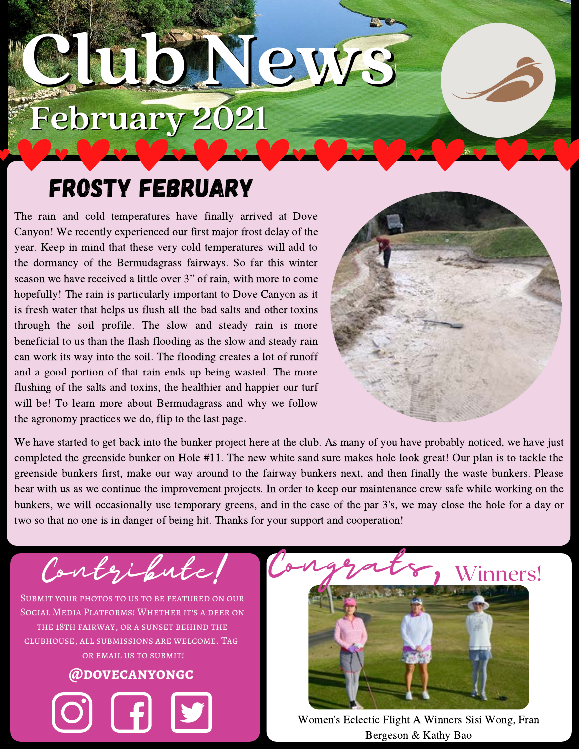# **Club News February 2021**

### Frosty February

The rain and cold temperatures have finally arrived at Dove Canyon! We recently experienced our first major frost delay of the year. Keep in mind that these very cold temperatures will add to the dormancy of the Bermudagrass fairways. So far this winter season we have received a little over 3" of rain, with more to come hopefully! The rain is particularly important to Dove Canyon as it is fresh water that helps us flush all the bad salts and other toxins through the soil profile. The slow and steady rain is more beneficial to us than the flash flooding as the slow and steady rain can work its way into the soil. The flooding creates a lot of runoff and a good portion of that rain ends up being wasted. The more flushing of the salts and toxins, the healthier and happier our turf will be! To learn more about Bermudagrass and why we follow the agronomy practices we do, flip to the last page.



We have started to get back into the bunker project here at the club. As many of you have probably noticed, we have just completed the greenside bunker on Hole #11. The new white sand sure makes hole look great! Our plan is to tackle the greenside bunkers first, make our way around to the fairway bunkers next, and then finally the waste bunkers. Please bear with us as we continue the improvement projects. In order to keep our maintenance crew safe while working on the bunkers, we will occasionally use temporary greens, and in the case of the par 3's, we may close the hole for a day or two so that no one is in danger of being hit. Thanks for your support and cooperation!

Contezibute!

Submit your photos to us to be featured on our Social Media Platforms! Whether it's a deer on the 18th fairway, or a sunset behind the clubhouse, all submissions are welcome. Tag or email us to submit!





Women's Eclectic Flight A Winners Sisi Wong, Fran Bergeson & Kathy Bao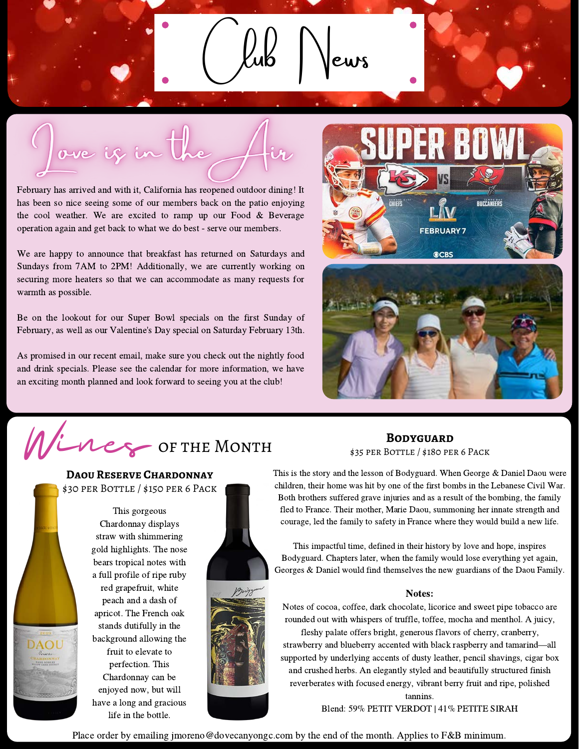ove if in the

February has arrived and with it, California has reopened outdoor dining! It has been so nice seeing some of our members back on the patio enjoying the cool weather. We are excited to ramp up our Food  $&$  Beverage operation again and get back to what we do best - serve our members.

We are happy to announce that breakfast has returned on Saturdays and Sundays from 7AM to 2PM! Additionally, we are currently working on securing more heaters so that we can accommodate as many requests for warmth as possible.

Be on the lookout for our Super Bowl specials on the first Sunday of February, as well as our Valentine's Day special on Saturday February 13th.

As promised in our recent email, make sure you check out the nightly food and drink specials. Please see the calendar for more information, we have an exciting month planned and look forward to seeing you at the club!





Vines OF THE MONTH

#### **Daou Reserve Chardonnay** \$30 per Bottle / \$150 per 6 Pack



This gorgeous Chardonnay displays straw with shimmering gold highlights. The nose bears tropical notes with a full profile of ripe ruby red grapefruit, white peach and a dash of apricot. The French oak stands dutifully in the background allowing the fruit to elevate to perfection. This Chardonnay can be enjoyed now, but will have a long and gracious life in the bottle.



\$35 per Bottle / \$180 per 6 Pack **Bodyguard**

This is the story and the lesson of Bodyguard. When George & Daniel Daou were children, their home was hit by one of the first bombs in the Lebanese Civil War. Both brothers suffered grave injuries and as a result of the bombing, the family fled to France. Their mother, Marie Daou, summoning her innate strength and courage, led the family to safety in France where they would build a new life.

This impactful time, defined in their history by love and hope, inspires Bodyguard. Chapters later, when the family would lose everything yet again, Georges & Daniel would find themselves the new guardians of the Daou Family.

#### Notes:

Notes of cocoa, coffee, dark chocolate, licorice and sweet pipe tobacco are rounded out with whispers of truffle, toffee, mocha and menthol. A juicy, fleshy palate offers bright, generous flavors of cherry, cranberry, stra rounded out with whispers of truffle, toffee, mocha and menthol. A juicy,

fleshy palate offers bright, generous flavors of cherry, cranberry, supported by underlying accents of dusty leather, pencil shavings, cigar box and crushed herbs. An elegantly styled and beautifully structured finish reverberates with focused energy, vibrant berry fruit and ripe, polished

tannins.

Blend: 59% PETIT VERDOT | 41% PETITE SIRAH

Place order by emailing jmoreno@dovecanyongc.com by the end of the month. Applies to F&B minimum.

 $Kub$  Vews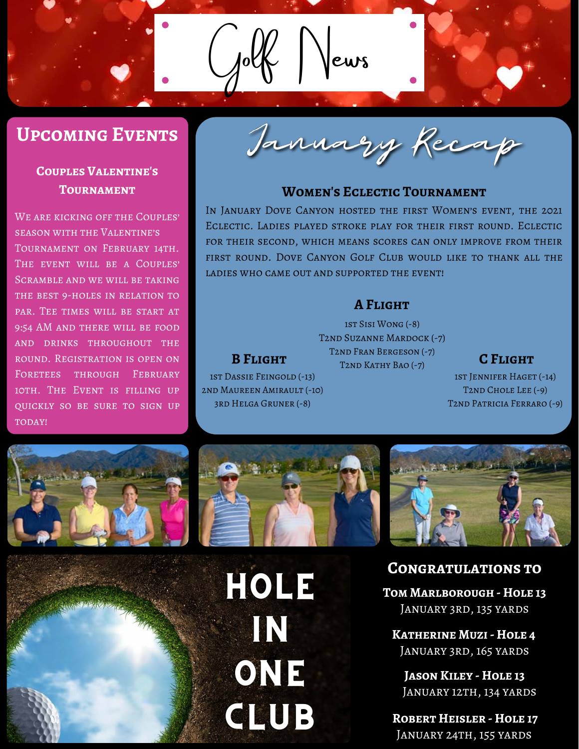#### **Upcoming Events**

#### **Couples Valentine's Tournament**

WE ARE KICKING OFF THE COUPLES' season with the Valentine's TOURNAMENT ON FEBRUARY 14TH. The event will be a Couples' Scramble and we will be taking THE BEST 9-HOLES IN RELATION TO par. Tee times will be start at 9:54 AM and there will be food and drinks throughout the round. Registration is open on FORETEES THROUGH FEBRUARY 10th. The Event is filling up quickly so be sure to sign up TODAY!

January Recap

 $|ews$ 

#### **Women's Eclectic Tournament**

In January Dove Canyon hosted the first Women's event, the 2021 Eclectic. Ladies played stroke play for their first round. Eclectic for their second, which means scores can only improve from their first round. Dove Canyon Golf Club would like to thank all the ladies who came out and supported the event!

#### **A Flight**

**B FLIGHT**T2ND KATHY BAO (-7) **C FLIGHT** 1st Sisi Wong (-8) T2nd Suzanne Mardock (-7) T2nd Fran Bergeson (-7)

1st Jennifer Haget (-14) T2nd Chole Lee (-9) T2nd Patricia Ferraro (-9)





1st Dassie Feingold (-13) 2nd Maureen Amirault (-10) 3rd Helga Gruner (-8)

> HOLE IN ONE CLUB



#### **Congratulations to**

**Tom Marlborough - Hole 13** January 3rd, 135 yards

**Katherine Muzi - Hole 4** January 3rd, 165 yards

**Jason Kiley - Hole 13** JANUARY 12TH, 134 YARDS

**Robert Heisler - Hole 17** January 24th, 155 yards